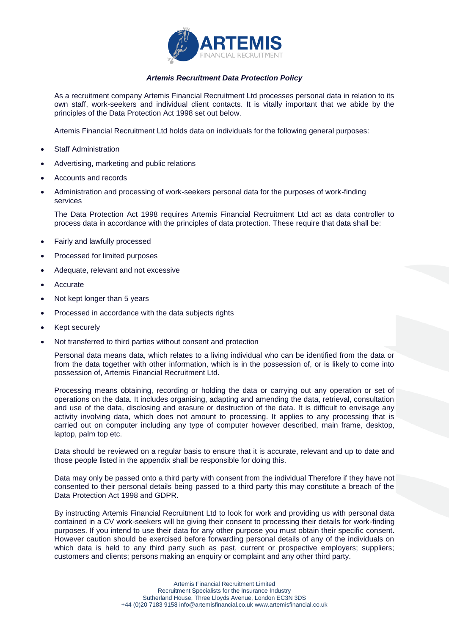

## *Artemis Recruitment Data Protection Policy*

As a recruitment company Artemis Financial Recruitment Ltd processes personal data in relation to its own staff, work-seekers and individual client contacts. It is vitally important that we abide by the principles of the Data Protection Act 1998 set out below.

Artemis Financial Recruitment Ltd holds data on individuals for the following general purposes:

- Staff Administration
- Advertising, marketing and public relations
- Accounts and records
- Administration and processing of work-seekers personal data for the purposes of work-finding services

The Data Protection Act 1998 requires Artemis Financial Recruitment Ltd act as data controller to process data in accordance with the principles of data protection. These require that data shall be:

- Fairly and lawfully processed
- Processed for limited purposes
- Adequate, relevant and not excessive
- Accurate
- Not kept longer than 5 years
- Processed in accordance with the data subjects rights
- Kept securely
- Not transferred to third parties without consent and protection

Personal data means data, which relates to a living individual who can be identified from the data or from the data together with other information, which is in the possession of, or is likely to come into possession of, Artemis Financial Recruitment Ltd.

Processing means obtaining, recording or holding the data or carrying out any operation or set of operations on the data. It includes organising, adapting and amending the data, retrieval, consultation and use of the data, disclosing and erasure or destruction of the data. It is difficult to envisage any activity involving data, which does not amount to processing. It applies to any processing that is carried out on computer including any type of computer however described, main frame, desktop, laptop, palm top etc.

Data should be reviewed on a regular basis to ensure that it is accurate, relevant and up to date and those people listed in the appendix shall be responsible for doing this.

Data may only be passed onto a third party with consent from the individual Therefore if they have not consented to their personal details being passed to a third party this may constitute a breach of the Data Protection Act 1998 and GDPR.

By instructing Artemis Financial Recruitment Ltd to look for work and providing us with personal data contained in a CV work-seekers will be giving their consent to processing their details for work-finding purposes. If you intend to use their data for any other purpose you must obtain their specific consent. However caution should be exercised before forwarding personal details of any of the individuals on which data is held to any third party such as past, current or prospective employers; suppliers; customers and clients; persons making an enquiry or complaint and any other third party.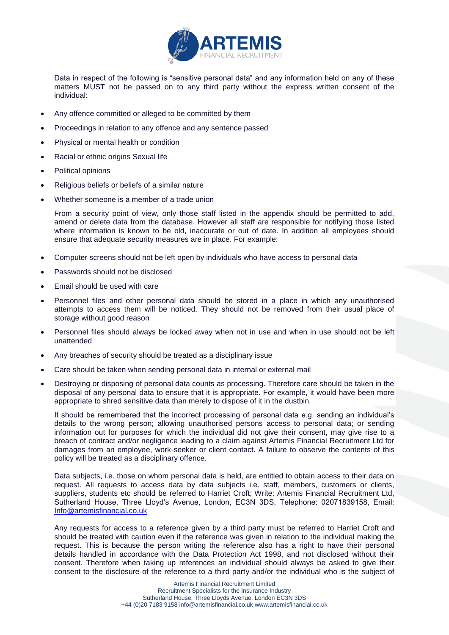

Data in respect of the following is "sensitive personal data" and any information held on any of these matters MUST not be passed on to any third party without the express written consent of the individual:

- Any offence committed or alleged to be committed by them
- Proceedings in relation to any offence and any sentence passed
- Physical or mental health or condition
- Racial or ethnic origins Sexual life
- Political opinions
- Religious beliefs or beliefs of a similar nature
- Whether someone is a member of a trade union

From a security point of view, only those staff listed in the appendix should be permitted to add, amend or delete data from the database. However all staff are responsible for notifying those listed where information is known to be old, inaccurate or out of date. In addition all employees should ensure that adequate security measures are in place. For example:

- Computer screens should not be left open by individuals who have access to personal data
- Passwords should not be disclosed
- Email should be used with care
- Personnel files and other personal data should be stored in a place in which any unauthorised attempts to access them will be noticed. They should not be removed from their usual place of storage without good reason
- Personnel files should always be locked away when not in use and when in use should not be left unattended
- Any breaches of security should be treated as a disciplinary issue
- Care should be taken when sending personal data in internal or external mail
- Destroying or disposing of personal data counts as processing. Therefore care should be taken in the disposal of any personal data to ensure that it is appropriate. For example, it would have been more appropriate to shred sensitive data than merely to dispose of it in the dustbin.

It should be remembered that the incorrect processing of personal data e.g. sending an individual's details to the wrong person; allowing unauthorised persons access to personal data; or sending information out for purposes for which the individual did not give their consent, may give rise to a breach of contract and/or negligence leading to a claim against Artemis Financial Recruitment Ltd for damages from an employee, work-seeker or client contact. A failure to observe the contents of this policy will be treated as a disciplinary offence.

Data subjects, i.e. those on whom personal data is held, are entitled to obtain access to their data on request. All requests to access data by data subjects i.e. staff, members, customers or clients, suppliers, students etc should be referred to Harriet Croft; Write: Artemis Financial Recruitment Ltd, Sutherland House, Three Lloyd's Avenue, London, EC3N 3DS, Telephone: 02071839158, Email: [Info@artemisfinancial.co.uk](mailto:Info@artemisfinancial.co.uk)

Any requests for access to a reference given by a third party must be referred to Harriet Croft and should be treated with caution even if the reference was given in relation to the individual making the request. This is because the person writing the reference also has a right to have their personal details handled in accordance with the Data Protection Act 1998, and not disclosed without their consent. Therefore when taking up references an individual should always be asked to give their consent to the disclosure of the reference to a third party and/or the individual who is the subject of